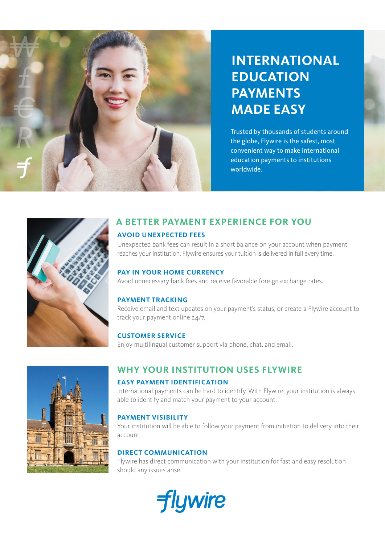

# **INTERNATIONAL EDUCATION PAYMENTS MADE EASY**

Trusted by thousands of students around the globe, Flywire is the safest, most convenient way to make international education payments to institutions worldwide.



# **A BETTER PAYMENT EXPERIENCE FOR YOU**

#### **AVOID UNEXPECTED FEES**

Unexpected bank fees can result in a short balance on your account when payment reaches your institution. Flywire ensures your tuition is delivered in full every time.

#### **PAY IN YOUR HOME CURRENCY**

Avoid unnecessary bank fees and receive favorable foreign exchange rates.

#### **PAYMENT TRACKING**

Receive email and text updates on your payment's status, or create a Flywire account to track your payment online 24/7.

#### **CUSTOMER SERVICE**

Enjoy multilingual customer support via phone, chat, and email.

# **WHY YOUR INSTITUTION USES FLYWIRE**

#### **EASY PAYMENT IDENTIFICATION**

International payments can be hard to identify. With Flywire, your institution is always able to identify and match your payment to your account.

#### **PAYMENT VISIBILITY**

Your institution will be able to follow your payment from initiation to delivery into their account.

#### **DIRECT COMMUNICATION**

Flywire has direct communication with your institution for fast and easy resolution should any issues arise.